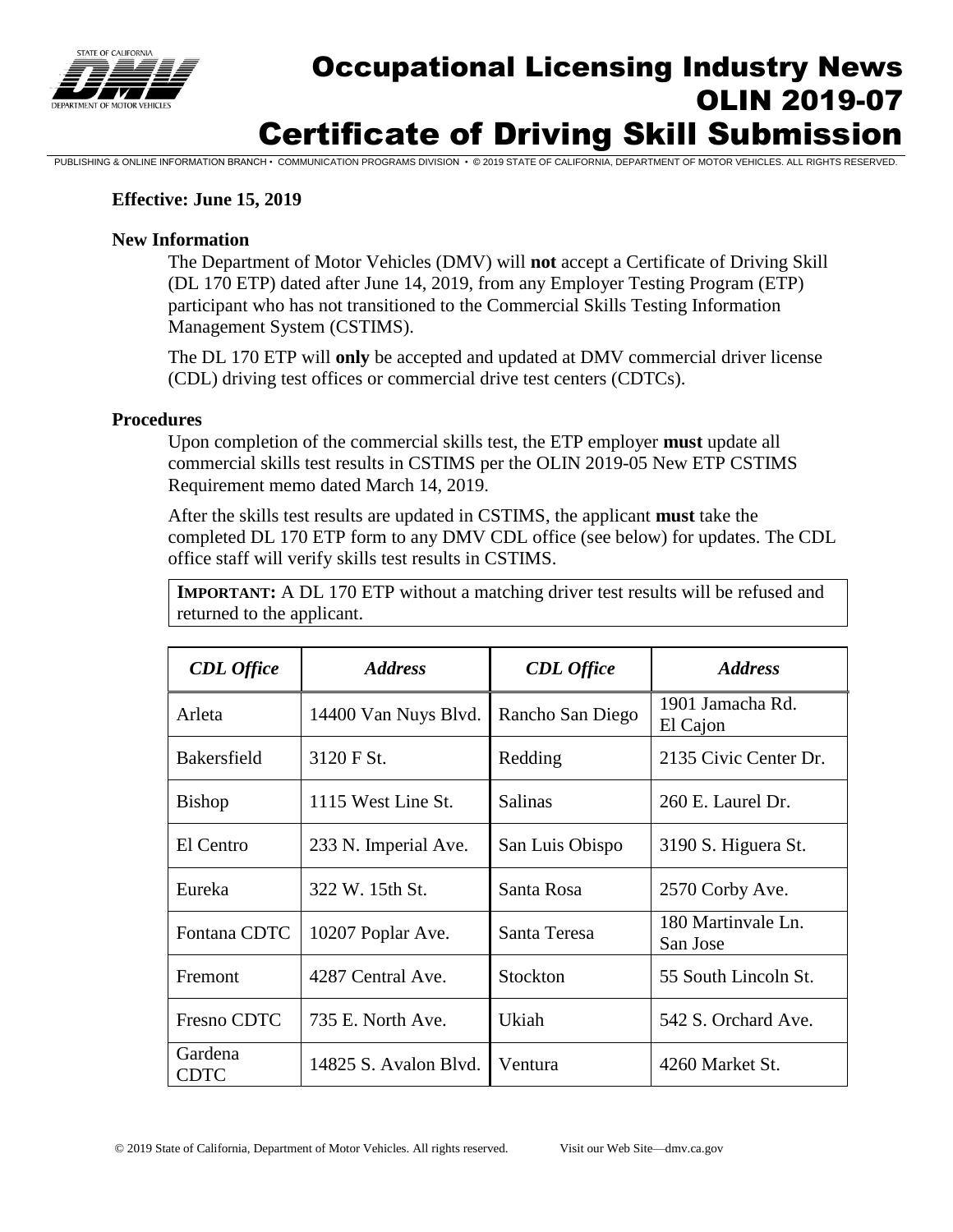

# Occupational Licensing Industry News OLIN 2019-07 Certificate of Driving Skill Submission

PUBLISHING & ONLINE INFORMATION BRANCH • COMMUNICATION PROGRAMS DIVISION • © 2019 STATE OF CALIFORNIA, DEPARTMENT OF MOTOR VEHICLES. ALL RIGHTS RESERVED.

#### **Effective: June 15, 2019**

#### **New Information**

The Department of Motor Vehicles (DMV) will **not** accept a Certificate of Driving Skill (DL 170 ETP) dated after June 14, 2019, from any Employer Testing Program (ETP) participant who has not transitioned to the Commercial Skills Testing Information Management System (CSTIMS).

The DL 170 ETP will **only** be accepted and updated at DMV commercial driver license (CDL) driving test offices or commercial drive test centers (CDTCs).

#### **Procedures**

Upon completion of the commercial skills test, the ETP employer **must** update all commercial skills test results in CSTIMS per the OLIN 2019-05 New ETP CSTIMS Requirement memo dated March 14, 2019.

After the skills test results are updated in CSTIMS, the applicant **must** take the completed DL 170 ETP form to any DMV CDL office (see below) for updates. The CDL office staff will verify skills test results in CSTIMS.

**IMPORTANT:** A DL 170 ETP without a matching driver test results will be refused and returned to the applicant.

| <b>CDL</b> Office      | <b>Address</b>        | <b>CDL</b> Office | <b>Address</b>                 |
|------------------------|-----------------------|-------------------|--------------------------------|
| Arleta                 | 14400 Van Nuys Blvd.  | Rancho San Diego  | 1901 Jamacha Rd.<br>El Cajon   |
| <b>Bakersfield</b>     | 3120 F St.            | Redding           | 2135 Civic Center Dr.          |
| <b>Bishop</b>          | 1115 West Line St.    | <b>Salinas</b>    | 260 E. Laurel Dr.              |
| El Centro              | 233 N. Imperial Ave.  | San Luis Obispo   | 3190 S. Higuera St.            |
| Eureka                 | 322 W. 15th St.       | Santa Rosa        | 2570 Corby Ave.                |
| Fontana CDTC           | 10207 Poplar Ave.     | Santa Teresa      | 180 Martinvale Ln.<br>San Jose |
| Fremont                | 4287 Central Ave.     | Stockton          | 55 South Lincoln St.           |
| <b>Fresno CDTC</b>     | 735 E. North Ave.     | Ukiah             | 542 S. Orchard Ave.            |
| Gardena<br><b>CDTC</b> | 14825 S. Avalon Blyd. | Ventura           | 4260 Market St.                |